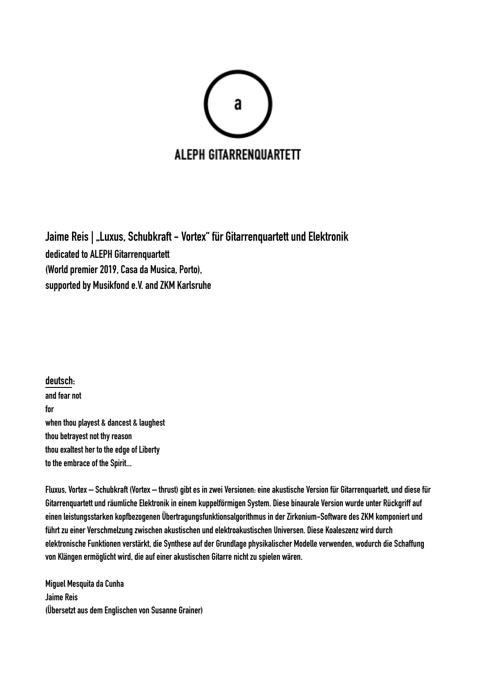

Jaime Reis | "Luxus, Schubkraft - Vortex" für Gitarrenquartett und Elektronik dedicated to ALEPH Gitarrenquartett (World premier 2019, Casa da Musica, Porto), supported by Musikfond e.V. and ZKM Karlsruhe

deutsch: and fear not for when thou playest & dancest & laughest thou betrayest not thy reason thou exaltest her to the edge of Liberty to the embrace of the Spirit...

Fluxus, Vortex – Schubkraft (Vortex – thrust) gibt es in zwei Versionen: eine akustische Version für Gitarrenquartett, und diese für Gitarrenquartett und räumliche Elektronik in einem kuppelförmigen System. Diese binaurale Version wurde unter Rückgriff auf einen leistungsstarken kopfbezogenen Übertragungsfunktionsalgorithmus in der Zirkonium-Software des ZKM komponiert und führt zu einer Verschmelzung zwischen akustischen und elektroakustischen Universen. Diese Koaleszenz wird durch elektronische Funktionen verstärkt, die Synthese auf der Grundlage physikalischer Modelle verwenden, wodurch die Schaffung von Klängen ermöglicht wird, die auf einer akustischen Gitarre nicht zu spielen wären.

Miguel Mesquita da Cunha Jaime Reis (Übersetzt aus dem Englischen von Susanne Grainer)